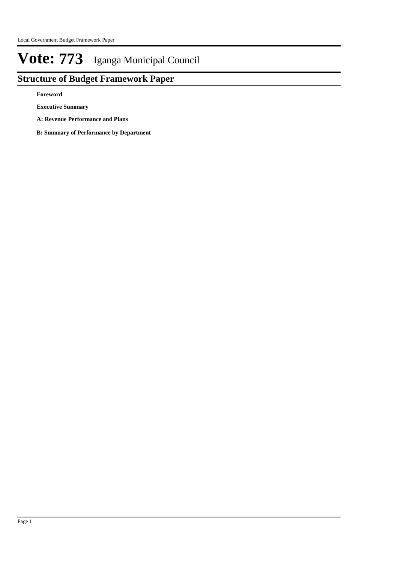## **Structure of Budget Framework Paper**

**Foreword**

**Executive Summary**

**A: Revenue Performance and Plans**

**B: Summary of Performance by Department**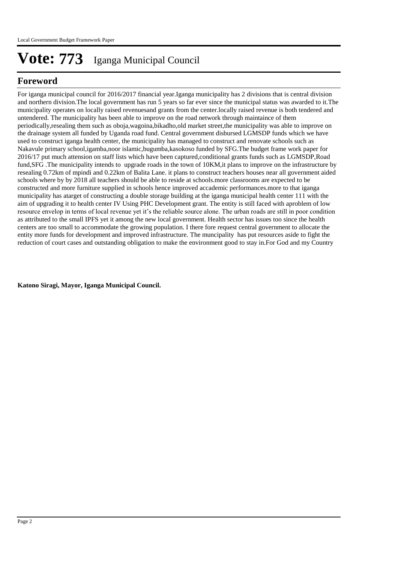## **Foreword**

For iganga municipal council for 2016/2017 financial year.Iganga municipality has 2 divisions that is central division and northern division.The local government has run 5 years so far ever since the municipal status was awarded to it.The municipality operates on locally raised revenuesand grants from the center.locally raised revenue is both tendered and untendered. The municipality has been able to improve on the road network through maintaince of them periodically,resealing them such as oboja,wagoina,bikadho,old market street,the municipality was able to improve on the drainage system all funded by Uganda road fund. Central government disbursed LGMSDP funds which we have used to construct iganga health center, the municipality has managed to construct and renovate schools such as Nakavule primary school,igamba,noor islamic,bugumba,kasokoso funded by SFG.The budget frame work paper for 2016/17 put much attension on staff lists which have been captured,conditional grants funds such as LGMSDP,Road fund, SFG. The municipality intends to upgrade roads in the town of 10KM, it plans to improve on the infrastructure by resealing 0.72km of mpindi and 0.22km of Balita Lane. it plans to construct teachers houses near all government aided schools where by by 2018 all teachers should be able to reside at schools.more classrooms are expected to be constructed and more furniture supplied in schools hence improved accademic performances.more to that iganga municipality has atarget of constructing a double storage building at the iganga municipal health center 111 with the aim of upgrading it to health center IV Using PHC Development grant. The entity is still faced with aproblem of low resource envelop in terms of local revenue yet it's the reliable source alone. The urban roads are still in poor condition as attributed to the small IPFS yet it among the new local government. Health sector has issues too since the health centers are too small to accommodate the growing population. I there fore request central government to allocate the entity more funds for development and improved infrastructure. The muncipality has put resources aside to fight the reduction of court cases and outstanding obligation to make the environment good to stay in.For God and my Country

**Katono Siragi, Mayor, Iganga Municipal Council.**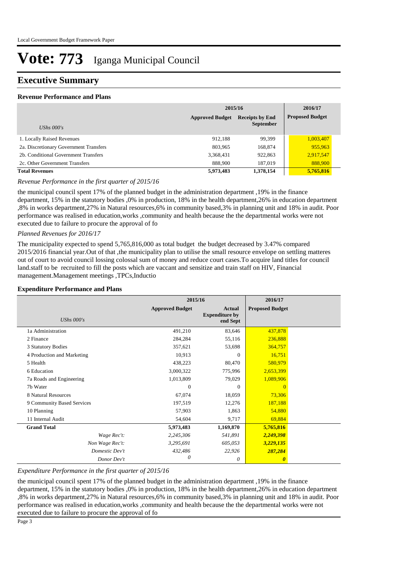### **Executive Summary**

#### **Revenue Performance and Plans**

|                                        | 2015/16                |                                            | 2016/17                |
|----------------------------------------|------------------------|--------------------------------------------|------------------------|
| UShs $000's$                           | <b>Approved Budget</b> | <b>Receipts by End</b><br><b>September</b> | <b>Proposed Budget</b> |
|                                        |                        |                                            |                        |
| 1. Locally Raised Revenues             | 912.188                | 99,399                                     | 1,003,407              |
| 2a. Discretionary Government Transfers | 803,965                | 168,874                                    | 955,963                |
| 2b. Conditional Government Transfers   | 3,368,431              | 922,863                                    | 2,917,547              |
| 2c. Other Government Transfers         | 888,900                | 187,019                                    | 888,900                |
| <b>Total Revenues</b>                  | 5,973,483              | 1,378,154                                  | 5,765,816              |

#### *Revenue Performance in the first quarter of 2015/16*

the municipal council spent 17% of the planned budget in the administration department ,19% in the finance department, 15% in the statutory bodies ,0% in production, 18% in the health department,26% in education department ,8% in works department,27% in Natural resources,6% in community based,3% in planning unit and 18% in audit. Poor performance was realised in education,works ,community and health because the the departmental works were not executed due to failure to procure the approval of fo

#### *Planned Revenues for 2016/17*

The municipality expected to spend 5,765,816,000 as total budget the budget decreased by 3.47% compared 2015/2016 financial year.Out of that ,the municipality plan to utilise the small resource envelope on settling matteres out of court to avoid council lossing colossal sum of money and reduce court cases.To acquire land titles for council land.staff to be recruited to fill the posts which are vaccant and sensitize and train staff on HIV, Financial management.Management meetings ,TPCs,Inductio

#### **Expenditure Performance and Plans**

|                            |                        | 2015/16                                            | 2016/17                |  |
|----------------------------|------------------------|----------------------------------------------------|------------------------|--|
| <b>UShs 000's</b>          | <b>Approved Budget</b> | <b>Actual</b><br><b>Expenditure by</b><br>end Sept | <b>Proposed Budget</b> |  |
| 1a Administration          | 491,210                | 83,646                                             | 437,878                |  |
| 2 Finance                  | 284,284                | 55,116                                             | 236,888                |  |
| 3 Statutory Bodies         | 357,621                | 53,698                                             | 364,757                |  |
| 4 Production and Marketing | 10,913                 | $\Omega$                                           | 16,751                 |  |
| 5 Health                   | 438,223                | 80,470                                             | 580,979                |  |
| 6 Education                | 3,000,322              | 775,996                                            | 2,653,399              |  |
| 7a Roads and Engineering   | 1,013,809              | 79,029                                             | 1,089,906              |  |
| 7b Water                   | $\Omega$               | $\Omega$                                           | $\Omega$               |  |
| 8 Natural Resources        | 67,074                 | 18,059                                             | 73,306                 |  |
| 9 Community Based Services | 197,519                | 12,276                                             | 187,188                |  |
| 10 Planning                | 57,903                 | 1,863                                              | 54,880                 |  |
| 11 Internal Audit          | 54,604                 | 9,717                                              | 69,884                 |  |
| <b>Grand Total</b>         | 5,973,483              | 1,169,870                                          | 5,765,816              |  |
| Wage Rec't:                | 2,245,306              | 541,891                                            | 2,249,398              |  |
| Non Wage Rec't:            | 3,295,691              | 605,053                                            | 3,229,135              |  |
| Domestic Dev't             | 432,486                | 22,926                                             | 287,284                |  |
| Donor Dev't                | 0                      | 0                                                  | 0                      |  |

#### *Expenditure Performance in the first quarter of 2015/16*

the municipal council spent 17% of the planned budget in the administration department ,19% in the finance department, 15% in the statutory bodies ,0% in production, 18% in the health department,26% in education department ,8% in works department,27% in Natural resources,6% in community based,3% in planning unit and 18% in audit. Poor performance was realised in education,works ,community and health because the the departmental works were not executed due to failure to procure the approval of fo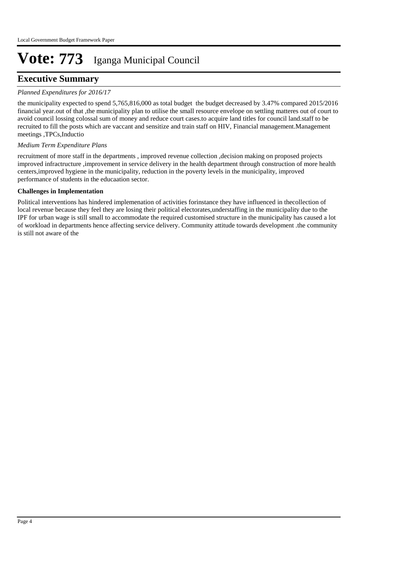## **Executive Summary**

#### *Planned Expenditures for 2016/17*

the municipality expected to spend 5,765,816,000 as total budget the budget decreased by 3.47% compared 2015/2016 financial year.out of that ,the municipality plan to utilise the small resource envelope on settling matteres out of court to avoid council lossing colossal sum of money and reduce court cases.to acquire land titles for council land.staff to be recruited to fill the posts which are vaccant and sensitize and train staff on HIV, Financial management.Management meetings ,TPCs,Inductio

#### *Medium Term Expenditure Plans*

recruitment of more staff in the departments , improved revenue collection ,decision making on proposed projects improved infractructure ,improvement in service delivery in the health department through construction of more health centers,improved hygiene in the municipality, reduction in the poverty levels in the municipality, improved performance of students in the educaation sector.

#### **Challenges in Implementation**

Political interventions has hindered implemenation of activities forinstance they have influenced in thecollection of local revenue because they feel they are losing their political electorates,understaffing in the municipality due to the IPF for urban wage is still small to accommodate the required customised structure in the municipality has caused a lot of workload in departments hence affecting service delivery. Community attitude towards development .the community is still not aware of the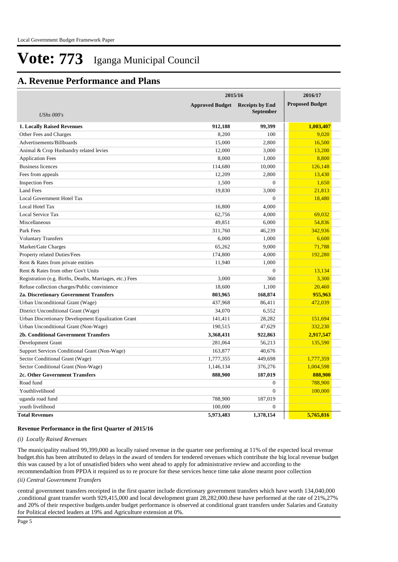### **A. Revenue Performance and Plans**

|                                                          | 2015/16                |                                            |                        |
|----------------------------------------------------------|------------------------|--------------------------------------------|------------------------|
|                                                          | <b>Approved Budget</b> | <b>Receipts by End</b><br><b>September</b> | <b>Proposed Budget</b> |
| <b>UShs 000's</b>                                        |                        |                                            |                        |
| <b>1. Locally Raised Revenues</b>                        | 912,188                | 99,399                                     | 1,003,407              |
| Other Fees and Charges                                   | 8,200                  | 100                                        | 9,020                  |
| Advertisements/Billboards                                | 15,000                 | 2,800                                      | 16,500                 |
| Animal & Crop Husbandry related levies                   | 12,000                 | 3,000                                      | 13,200                 |
| <b>Application Fees</b>                                  | 8,000                  | 1,000                                      | 8,800                  |
| <b>Business licences</b>                                 | 114,680                | 10,000                                     | 126,148                |
| Fees from appeals                                        | 12,209                 | 2,800                                      | 13,430                 |
| <b>Inspection Fees</b>                                   | 1,500                  | $\overline{0}$                             | 1,650                  |
| <b>Land Fees</b>                                         | 19,830                 | 3,000                                      | 21,813                 |
| Local Government Hotel Tax                               |                        | $\Omega$                                   | 18,480                 |
| Local Hotel Tax                                          | 16,800                 | 4,000                                      |                        |
| Local Service Tax                                        | 62,756                 | 4,000                                      | 69,032                 |
| Miscellaneous                                            | 49,851                 | 6,000                                      | 54,836                 |
| Park Fees                                                | 311,760                | 46,239                                     | 342,936                |
| <b>Voluntary Transfers</b>                               | 6,000                  | 1,000                                      | 6,600                  |
| Market/Gate Charges                                      | 65,262                 | 9,000                                      | 71,788                 |
| Property related Duties/Fees                             | 174,800                | 4,000                                      | 192,280                |
| Rent & Rates from private entities                       | 11,940                 | 1,000                                      |                        |
| Rent & Rates from other Gov't Units                      |                        | $\overline{0}$                             | 13,134                 |
| Registration (e.g. Births, Deaths, Marriages, etc.) Fees | 3,000                  | 360                                        | 3,300                  |
| Refuse collection charges/Public convinience             | 18,600                 | 1,100                                      | 20,460                 |
| 2a. Discretionary Government Transfers                   | 803,965                | 168,874                                    | 955,963                |
| Urban Unconditional Grant (Wage)                         | 437,968                | 86,411                                     | 472,039                |
| District Unconditional Grant (Wage)                      | 34,070                 | 6,552                                      |                        |
| Urban Discretionary Development Equalization Grant       | 141,411                | 28,282                                     | 151,694                |
| Urban Unconditional Grant (Non-Wage)                     | 190,515                | 47,629                                     | 332,230                |
| <b>2b. Conditional Government Transfers</b>              | 3,368,431              | 922,863                                    | 2,917,547              |
| Development Grant                                        | 281,064                | 56,213                                     | 135,590                |
| Support Services Conditional Grant (Non-Wage)            | 163,877                | 40,676                                     |                        |
| Sector Conditional Grant (Wage)                          | 1,777,355              | 449,698                                    | 1,777,359              |
| Sector Conditional Grant (Non-Wage)                      | 1,146,134              | 376,276                                    | 1,004,598              |
| 2c. Other Government Transfers                           | 888,900                | 187,019                                    | 888,900                |
| Road fund                                                |                        | $\overline{0}$                             | 788,900                |
| Youthlivelihood                                          |                        | $\Omega$                                   | 100,000                |
| uganda road fund                                         | 788,900                | 187,019                                    |                        |
| youth livelihood                                         | 100,000                | $\theta$                                   |                        |
| <b>Total Revenues</b>                                    | 5,973,483              | 1,378,154                                  | 5,765,816              |

#### **Revenue Performance in the first Quarter of 2015/16**

#### *(i) Locally Raised Revenues*

The municipality realised 99,399,000 as locally raised revenue in the quarter one performing at 11% of the expected local revenue budget.this has been attributed to delays in the award of tenders for tendered revenues which contribute the big local revenue budget this was caused by a lot of unsatisfied biders who went ahead to apply for administrative review and according to the recommendadtion from PPDA it required us to re procure for these services hence time take alone mearnt poor collection

#### *(ii) Central Government Transfers*

central government transfers receipted in the first quarter include dicretionary government transfers which have worth 134,040,000 ,conditional grant transfer worth 929,415,000 and local development grant 28,282,000.these have performed at the rate of 21%,27% and 20% of their respective budgets.under budget performance is observed at conditional grant transfers under Salaries and Gratuity for Political elected leaders at 19% and Agriculture extension at 0%.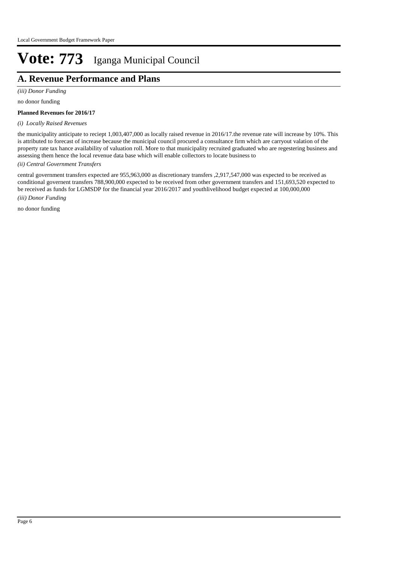## **A. Revenue Performance and Plans**

*(iii) Donor Funding*

no donor funding

#### **Planned Revenues for 2016/17**

#### *(i) Locally Raised Revenues*

the municipality anticipate to reciept 1,003,407,000 as locally raised revenue in 2016/17.the revenue rate will increase by 10%. This is attributed to forecast of increase because the municipal council procured a consultance firm which are carryout valation of the property rate tax hance availability of valuation roll. More to that municipality recruited graduated who are regestering business and assessing them hence the local revenue data base which will enable collectors to locate business to

#### *(ii) Central Government Transfers*

*(iii) Donor Funding* central government transfers expected are 955,963,000 as discretionary transfers ,2,917,547,000 was expected to be received as conditional governent transfers 788,900,000 expected to be received from other government transfers and 151,693,520 expected to be received as funds for LGMSDP for the financial year 2016/2017 and youthlivelihood budget expected at 100,000,000

no donor funding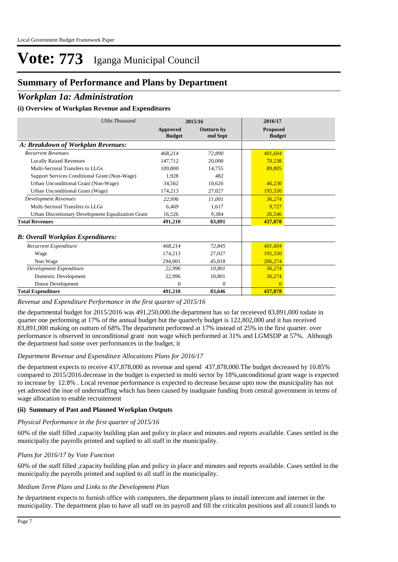## **Summary of Performance and Plans by Department**

### *Workplan 1a: Administration*

#### **(i) Overview of Workplan Revenue and Expenditures**

| <b>UShs Thousand</b>                               |                           | 2015/16                | 2016/17                          |  |
|----------------------------------------------------|---------------------------|------------------------|----------------------------------|--|
|                                                    | Approved<br><b>Budget</b> | Outturn by<br>end Sept | <b>Proposed</b><br><b>Budget</b> |  |
| A: Breakdown of Workplan Revenues:                 |                           |                        |                                  |  |
| <b>Recurrent Revenues</b>                          | 468,214                   | 72,890                 | 401,604                          |  |
| <b>Locally Raised Revenues</b>                     | 147,712                   | 20,000                 | 70,238                           |  |
| Multi-Sectoral Transfers to LLGs                   | 109,800                   | 14,755                 | 89,805                           |  |
| Support Services Conditional Grant (Non-Wage)      | 1,928                     | 482                    |                                  |  |
| Urban Unconditional Grant (Non-Wage)               | 34,562                    | 10,626                 | 46,230                           |  |
| Urban Unconditional Grant (Wage)                   | 174,213                   | 27,027                 | 195,330                          |  |
| <b>Development Revenues</b>                        | 22,996                    | 11,001                 | 36,274                           |  |
| Multi-Sectoral Transfers to LLGs                   | 6.469                     | 1.617                  | 9.727                            |  |
| Urban Discretionary Development Equalization Grant | 16,526                    | 9,384                  | 26,546                           |  |
| <b>Total Revenues</b>                              | 491,210                   | 83,891                 | 437,878                          |  |
| <b>B</b> : Overall Workplan Expenditures:          |                           |                        |                                  |  |
| Recurrent Expenditure                              | 468,214                   | 72,845                 | 401,604                          |  |
| Wage                                               | 174,213                   | 27,027                 | 195,330                          |  |
| Non Wage                                           | 294.001                   | 45,818                 | 206,274                          |  |
| Development Expenditure                            | 22,996                    | 10,801                 | 36,274                           |  |
| Domestic Development                               | 22,996                    | 10,801                 | 36,274                           |  |
| Donor Development                                  | $\Omega$                  | $\mathbf{0}$           | $\Omega$                         |  |
| <b>Total Expenditure</b>                           | 491,210                   | 83,646                 | 437,878                          |  |

#### *Revenue and Expenditure Performance in the first quarter of 2015/16*

the departmental budget for 2015/2016 was 491,250,000.the department has so far receieved 83,891,000 todate in quarter one performing at 17% of the annual budget but the quarterly budget is 122,802,000 and it has received 83,891,000 making on outturn of 68%.The department performed at 17% instead of 25% in the first quarter. over performance is observed in unconditional grant non wage which performed at 31% and LGMSDP at 57%. Although the department had some over performances in the budget, it

#### *Department Revenue and Expenditure Allocations Plans for 2016/17*

the department expects to receive 437,878,000 as revenue and spend 437,878,000.The budget decreased by 10.85% compared to 2015/2016.decrease in the budget is expected in multi sector by 18%,unconditional grant wage is expected to increase by 12.8% . Local revenue performance is expected to decrease because upto now the municipality has not yet adressed the isue of understaffing which has been caused by inadquate funding from central government in terms of wage allocation to enable recruitement

#### **(ii) Summary of Past and Planned Workplan Outputs**

#### *Physical Performance in the first quarter of 2015/16*

60% of the staff filled ,capacity building plan and policy in place and minutes and reports available. Cases settled in the municipaliy.the payrolls printed and suplied to all staff in the municipality.

#### *Plans for 2016/17 by Vote Function*

60% of the staff filled ,capacity building plan and policy in place and minutes and reports available. Cases settled in the municipaliy.the payrolls printed and suplied to all staff in the municipality.

#### *Medium Term Plans and Links to the Development Plan*

he department expects to furnish office with computers, the department plans to install intercom and internet in the municipality. The department plan to have all staff on its payroll and fill the criticalm positions and all council lands to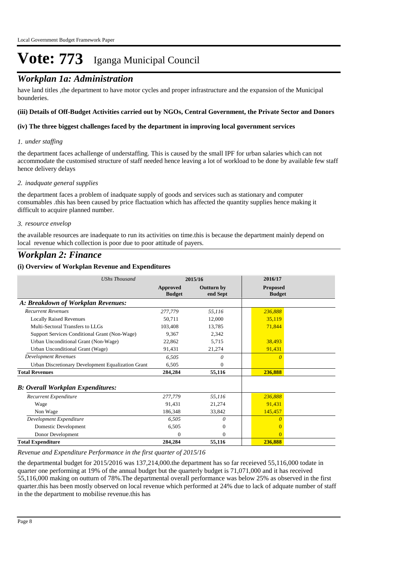## *Workplan 1a: Administration*

have land titles ,the department to have motor cycles and proper infrastructure and the expansion of the Municipal bounderies.

#### **(iii) Details of Off-Budget Activities carried out by NGOs, Central Government, the Private Sector and Donors**

#### **(iv) The three biggest challenges faced by the department in improving local government services**

#### *under staffing 1.*

the department faces achallenge of understaffing. This is caused by the small IPF for urban salaries which can not accommodate the customised structure of staff needed hence leaving a lot of workload to be done by available few staff hence delivery delays

#### *inadquate general supplies 2.*

the department faces a problem of inadquate supply of goods and services such as stationary and computer consumables .this has been caused by price flactuation which has affected the quantity supplies hence making it difficult to acquire planned number.

#### *resource envelop 3.*

the available resources are inadequate to run its activities on time.this is because the department mainly depend on local revenue which collection is poor due to poor attitude of payers.

### *Workplan 2: Finance*

#### **(i) Overview of Workplan Revenue and Expenditures**

| <b>UShs Thousand</b>                               |                                  | 2015/16                       | 2016/17                          |  |
|----------------------------------------------------|----------------------------------|-------------------------------|----------------------------------|--|
|                                                    | <b>Approved</b><br><b>Budget</b> | <b>Outturn by</b><br>end Sept | <b>Proposed</b><br><b>Budget</b> |  |
| A: Breakdown of Workplan Revenues:                 |                                  |                               |                                  |  |
| <b>Recurrent Revenues</b>                          | 277,779                          | 55,116                        | 236.888                          |  |
| <b>Locally Raised Revenues</b>                     | 50,711                           | 12,000                        | 35,119                           |  |
| Multi-Sectoral Transfers to LLGs                   | 103.408                          | 13,785                        | 71,844                           |  |
| Support Services Conditional Grant (Non-Wage)      | 9.367                            | 2.342                         |                                  |  |
| Urban Unconditional Grant (Non-Wage)               | 22,862                           | 5,715                         | 38,493                           |  |
| Urban Unconditional Grant (Wage)                   | 91,431                           | 21,274                        | 91,431                           |  |
| <b>Development Revenues</b>                        | 6,505                            | 0                             | $\theta$                         |  |
| Urban Discretionary Development Equalization Grant | 6.505                            | 0                             |                                  |  |
| <b>Total Revenues</b>                              | 284,284                          | 55,116                        | 236,888                          |  |
| <b>B</b> : Overall Workplan Expenditures:          |                                  |                               |                                  |  |
| Recurrent Expenditure                              | 277,779                          | 55,116                        | 236,888                          |  |
| Wage                                               | 91.431                           | 21,274                        | 91,431                           |  |
| Non Wage                                           | 186,348                          | 33,842                        | 145,457                          |  |
| Development Expenditure                            | 6,505                            | $\theta$                      | $\theta$                         |  |
| Domestic Development                               | 6,505                            | $\overline{0}$                | $\theta$                         |  |
| Donor Development                                  | 0                                | $\Omega$                      | $\Omega$                         |  |
| <b>Total Expenditure</b>                           | 284,284                          | 55,116                        | 236,888                          |  |

#### *Revenue and Expenditure Performance in the first quarter of 2015/16*

the departmental budget for 2015/2016 was 137,214,000.the department has so far receieved 55,116,000 todate in quarter one performing at 19% of the annual budget but the quarterly budget is 71,071,000 and it has received 55,116,000 making on outturn of 78%.The departmental overall performance was below 25% as observed in the first quarter.this has been mostly observed on local revenue which performed at 24% due to lack of adquate number of staff in the the department to mobilise revenue.this has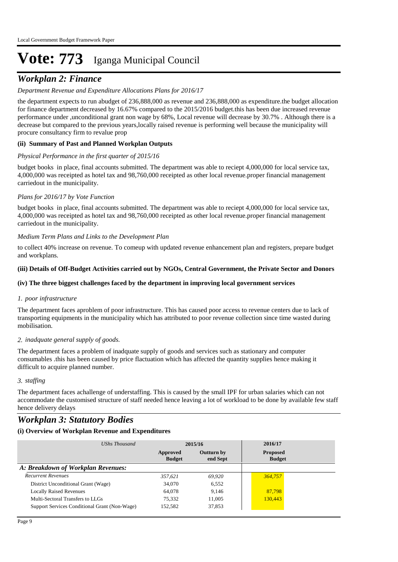## *Workplan 2: Finance*

#### *Department Revenue and Expenditure Allocations Plans for 2016/17*

the department expects to run abudget of 236,888,000 as revenue and 236,888,000 as expenditure.the budget allocation for finance department decreased by 16.67% compared to the 2015/2016 budget.this has been due increased revenue performance under ,unconditional grant non wage by 68%, Local revenue will decrease by 30.7% . Although there is a decrease but compared to the previous years,locally raised revenue is performing well because the municipality will procure consultancy firm to revalue prop

#### **(ii) Summary of Past and Planned Workplan Outputs**

#### *Physical Performance in the first quarter of 2015/16*

budget books in place, final accounts submitted. The department was able to reciept 4,000,000 for local service tax, 4,000,000 was receipted as hotel tax and 98,760,000 receipted as other local revenue.proper financial management carriedout in the municipality.

#### *Plans for 2016/17 by Vote Function*

budget books in place, final accounts submitted. The department was able to reciept 4,000,000 for local service tax, 4,000,000 was receipted as hotel tax and 98,760,000 receipted as other local revenue.proper financial management carriedout in the municipality.

#### *Medium Term Plans and Links to the Development Plan*

to collect 40% increase on revenue. To comeup with updated revenue enhancement plan and registers, prepare budget and workplans.

#### **(iii) Details of Off-Budget Activities carried out by NGOs, Central Government, the Private Sector and Donors**

#### **(iv) The three biggest challenges faced by the department in improving local government services**

#### *poor infrastructure 1.*

The department faces aproblem of poor infrastructure. This has caused poor access to revenue centers due to lack of transporting equipments in the municipality which has attributed to poor revenue collection since time wasted during mobilisation.

#### *inadquate general supply of goods. 2.*

The department faces a problem of inadquate supply of goods and services such as stationary and computer consumables .this has been caused by price flactuation which has affected the quantity supplies hence making it difficult to acquire planned number.

#### *staffing 3.*

The department faces achallenge of understaffing. This is caused by the small IPF for urban salaries which can not accommodate the customised structure of staff needed hence leaving a lot of workload to be done by available few staff hence delivery delays

### *Workplan 3: Statutory Bodies*

#### **(i) Overview of Workplan Revenue and Expenditures**

| UShs Thousand                                 |                           | 2015/16                       | 2016/17                          |
|-----------------------------------------------|---------------------------|-------------------------------|----------------------------------|
|                                               | Approved<br><b>Budget</b> | <b>Outturn by</b><br>end Sept | <b>Proposed</b><br><b>Budget</b> |
| A: Breakdown of Workplan Revenues:            |                           |                               |                                  |
| <b>Recurrent Revenues</b>                     | 357.621                   | 69.920                        | 364,757                          |
| District Unconditional Grant (Wage)           | 34,070                    | 6,552                         |                                  |
| <b>Locally Raised Revenues</b>                | 64,078                    | 9,146                         | 87,798                           |
| Multi-Sectoral Transfers to LLGs              | 75,332                    | 11,005                        | 130,443                          |
| Support Services Conditional Grant (Non-Wage) | 152,582                   | 37,853                        |                                  |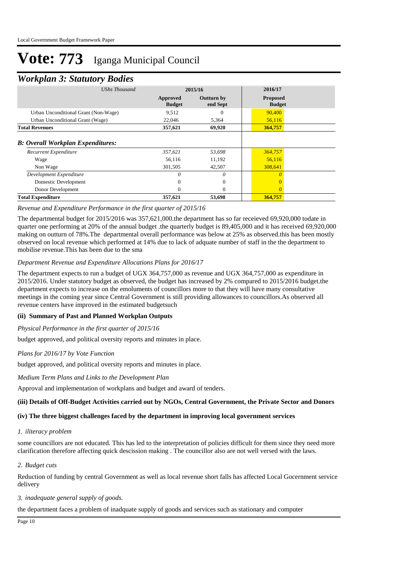### *Workplan 3: Statutory Bodies*

| <b>UShs Thousand</b>                                              |                           | 2015/16                       | 2016/17                          |  |
|-------------------------------------------------------------------|---------------------------|-------------------------------|----------------------------------|--|
|                                                                   | Approved<br><b>Budget</b> | <b>Outturn by</b><br>end Sept | <b>Proposed</b><br><b>Budget</b> |  |
| Urban Unconditional Grant (Non-Wage)                              | 9,512                     | 0                             | 90,400                           |  |
| Urban Unconditional Grant (Wage)                                  | 22,046                    | 5,364                         | 56,116                           |  |
| <b>Total Revenues</b>                                             | 357,621                   | 69,920                        | 364,757                          |  |
| <b>B: Overall Workplan Expenditures:</b><br>Recurrent Expenditure | 357,621                   | 53,698                        | 364,757                          |  |
|                                                                   |                           |                               |                                  |  |
| Wage                                                              | 56,116                    | 11,192                        | 56,116                           |  |
| Non Wage                                                          | 301,505                   | 42,507                        | 308,641                          |  |
| Development Expenditure                                           | 0                         | 0                             | $\theta$                         |  |
| Domestic Development                                              | 0                         | $\theta$                      |                                  |  |
| Donor Development                                                 | 0                         | $\Omega$                      | $\overline{0}$                   |  |
| <b>Total Expenditure</b>                                          | 357,621                   | 53,698                        | 364,757                          |  |

#### *Revenue and Expenditure Performance in the first quarter of 2015/16*

The departmental budget for 2015/2016 was 357,621,000.the department has so far receieved 69,920,000 todate in quarter one performing at 20% of the annual budget .the quarterly budget is 89,405,000 and it has received 69,920,000 making on outturn of 78%.The departmental overall performance was below at 25% as observed.this has been mostly observed on local revenue which performed at 14% due to lack of adquate number of staff in the the department to mobilise revenue.This has been due to the sma

#### *Department Revenue and Expenditure Allocations Plans for 2016/17*

The department expects to run a budget of UGX 364,757,000 as revenue and UGX 364,757,000 as expenditure in 2015/2016. Under statutory budget as observed, the budget has increased by 2% compared to 2015/2016 budget.the department expects to increase on the emoluments of councillors more to that they will have many consultative meetings in the coming year since Central Government is still providing allowances to councillors.As observed all revenue centers have improved in the estimated budgetsuch

#### **(ii) Summary of Past and Planned Workplan Outputs**

*Physical Performance in the first quarter of 2015/16*

budget approved, and political oversity reports and minutes in place.

#### *Plans for 2016/17 by Vote Function*

budget approved, and political oversity reports and minutes in place.

*Medium Term Plans and Links to the Development Plan*

Approval and implementation of workplans and budget and award of tenders.

#### **(iii) Details of Off-Budget Activities carried out by NGOs, Central Government, the Private Sector and Donors**

#### **(iv) The three biggest challenges faced by the department in improving local government services**

#### *iliteracy problem 1.*

some councillors are not educated. This has led to the interpretation of policies difficult for them since they need more clarification therefore affecting quick descission making . The councillor also are not well versed with the laws.

#### *Budget cuts 2.*

Reduction of funding by central Government as well as local revenue short falls has affected Local Gocernment service delivery

#### *inadequate general supply of goods. 3.*

the department faces a problem of inadquate supply of goods and services such as stationary and computer

Page 10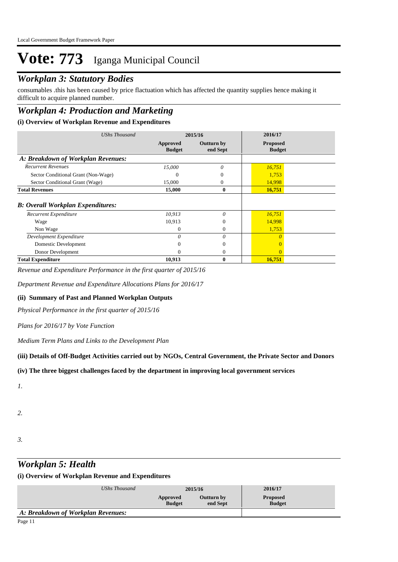## *Workplan 3: Statutory Bodies*

consumables .this has been caused by price flactuation which has affected the quantity supplies hence making it difficult to acquire planned number.

## *Workplan 4: Production and Marketing*

#### **(i) Overview of Workplan Revenue and Expenditures**

| UShs Thousand                            |                           | 2015/16                | 2016/17                          |  |
|------------------------------------------|---------------------------|------------------------|----------------------------------|--|
|                                          | Approved<br><b>Budget</b> | Outturn by<br>end Sept | <b>Proposed</b><br><b>Budget</b> |  |
| A: Breakdown of Workplan Revenues:       |                           |                        |                                  |  |
| <b>Recurrent Revenues</b>                | 15,000                    | $\theta$               | 16,751                           |  |
| Sector Conditional Grant (Non-Wage)      | $\mathbf{\Omega}$         | 0                      | 1,753                            |  |
| Sector Conditional Grant (Wage)          | 15,000                    | 0                      | 14,998                           |  |
| <b>Total Revenues</b>                    | 15,000                    | $\bf{0}$               | 16,751                           |  |
| <b>B:</b> Overall Workplan Expenditures: |                           |                        |                                  |  |
| Recurrent Expenditure                    | 10.913                    | $\theta$               | 16,751                           |  |
| Wage                                     | 10,913                    | 0                      | 14,998                           |  |
| Non Wage                                 | 0                         | 0                      | 1,753                            |  |
| Development Expenditure                  | $\theta$                  | 0                      |                                  |  |
| Domestic Development                     | 0                         | 0                      |                                  |  |
| Donor Development                        | $\Omega$                  | $\mathbf{0}$           |                                  |  |
| <b>Total Expenditure</b>                 | 10,913                    | 0                      | 16,751                           |  |

*Revenue and Expenditure Performance in the first quarter of 2015/16*

*Department Revenue and Expenditure Allocations Plans for 2016/17*

#### **(ii) Summary of Past and Planned Workplan Outputs**

*Physical Performance in the first quarter of 2015/16*

#### *Plans for 2016/17 by Vote Function*

*Medium Term Plans and Links to the Development Plan*

#### **(iii) Details of Off-Budget Activities carried out by NGOs, Central Government, the Private Sector and Donors**

#### **(iv) The three biggest challenges faced by the department in improving local government services**

*1.*

- *2.*
- *3.*

### *Workplan 5: Health*

#### **(i) Overview of Workplan Revenue and Expenditures**

| UShs Thousand                      | 2015/16                   |                               | 2016/17                          |  |
|------------------------------------|---------------------------|-------------------------------|----------------------------------|--|
|                                    | Approved<br><b>Budget</b> | <b>Outturn by</b><br>end Sept | <b>Proposed</b><br><b>Budget</b> |  |
| A: Breakdown of Workplan Revenues: |                           |                               |                                  |  |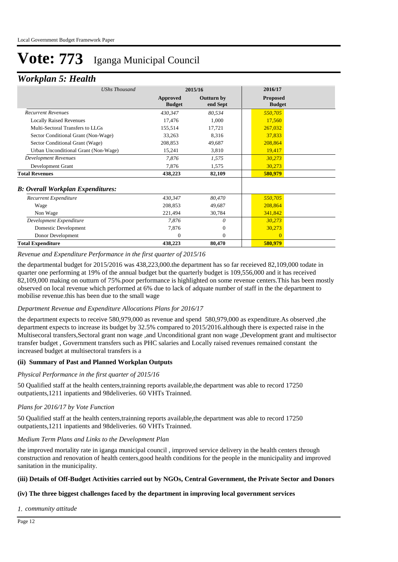### *Workplan 5: Health*

| <b>UShs Thousand</b>                 |                                  | 2015/16                       |                                  |  |
|--------------------------------------|----------------------------------|-------------------------------|----------------------------------|--|
|                                      | <b>Approved</b><br><b>Budget</b> | <b>Outturn by</b><br>end Sept | <b>Proposed</b><br><b>Budget</b> |  |
| <b>Recurrent Revenues</b>            | 430,347                          | 80,534                        | 550,705                          |  |
| <b>Locally Raised Revenues</b>       | 17,476                           | 1,000                         | 17,560                           |  |
| Multi-Sectoral Transfers to LLGs     | 155,514                          | 17,721                        | 267,032                          |  |
| Sector Conditional Grant (Non-Wage)  | 33,263                           | 8,316                         | 37,833                           |  |
| Sector Conditional Grant (Wage)      | 208,853                          | 49,687                        | 208,864                          |  |
| Urban Unconditional Grant (Non-Wage) | 15,241                           | 3,810                         | 19,417                           |  |
| <b>Development Revenues</b>          | 7,876                            | 1,575                         | 30,273                           |  |
| Development Grant                    | 7,876                            | 1,575                         | 30,273                           |  |
| <b>Total Revenues</b>                | 438,223                          | 82,109                        | 580,979                          |  |
| B: Overall Workplan Expenditures:    |                                  |                               |                                  |  |
| Recurrent Expenditure                | 430,347                          | 80,470                        | 550,705                          |  |
| Wage                                 | 208,853                          | 49,687                        | 208,864                          |  |
| Non Wage                             | 221,494                          | 30,784                        | 341,842                          |  |
| Development Expenditure              | 7,876                            | 0                             | 30,273                           |  |
| Domestic Development                 | 7,876                            | $\mathbf{0}$                  | 30,273                           |  |
| Donor Development                    | $\overline{0}$                   | $\mathbf{0}$                  | $\overline{0}$                   |  |
| <b>Total Expenditure</b>             | 438,223                          | 80,470                        | 580,979                          |  |

#### *Revenue and Expenditure Performance in the first quarter of 2015/16*

the departmental budget for 2015/2016 was 438,223,000.the department has so far receieved 82,109,000 todate in quarter one performing at 19% of the annual budget but the quarterly budget is 109,556,000 and it has received 82,109,000 making on outturn of 75%.poor performance is highlighted on some revenue centers.This has been mostly observed on local revenue which performed at 6% due to lack of adquate number of staff in the the department to mobilise revenue.this has been due to the small wage

#### *Department Revenue and Expenditure Allocations Plans for 2016/17*

the department expects to receive 580,979,000 as revenue and spend 580,979,000 as expenditure.As observed ,the department expects to increase its budget by 32.5% compared to 2015/2016.although there is expected raise in the Multisecoral transfers,Sectoral grant non wage ,and Unconditional grant non wage ,Development grant and multisector transfer budget , Government transfers such as PHC salaries and Locally raised revenues remained constant the increased budget at multisectoral transfers is a

#### **(ii) Summary of Past and Planned Workplan Outputs**

#### *Physical Performance in the first quarter of 2015/16*

50 Qualified staff at the health centers,trainning reports available,the department was able to record 17250 outpatients,1211 inpatients and 98deliveries. 60 VHTs Trainned.

#### *Plans for 2016/17 by Vote Function*

50 Qualified staff at the health centers,trainning reports available,the department was able to record 17250 outpatients,1211 inpatients and 98deliveries. 60 VHTs Trainned.

#### *Medium Term Plans and Links to the Development Plan*

the improved mortality rate in iganga municipal council , improved service delivery in the health centers through construction and renovation of health centers,good health conditions for the people in the municipality and improved sanitation in the municipality.

#### **(iii) Details of Off-Budget Activities carried out by NGOs, Central Government, the Private Sector and Donors**

#### **(iv) The three biggest challenges faced by the department in improving local government services**

*community attitude 1.*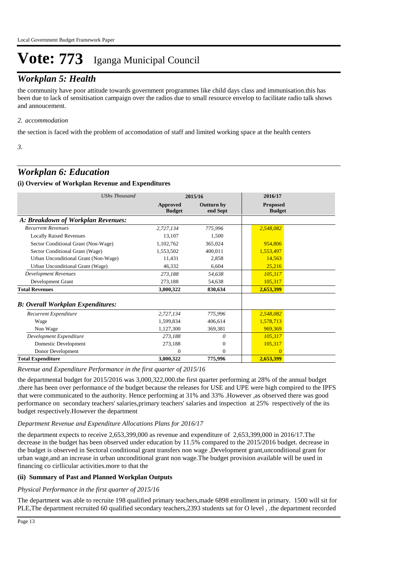## *Workplan 5: Health*

the community have poor attitude towards government programmes like child days class and immunisation.this has been due to lack of sensitisation campaign over the radios due to small resource envelop to facilitate radio talk shows and annoucement.

#### *accommodation 2.*

the section is faced with the problem of accomodation of staff and limited working space at the health centers

*3.*

### *Workplan 6: Education*

#### **(i) Overview of Workplan Revenue and Expenditures**

| <b>UShs Thousand</b>                     |                           | 2015/16                       | 2016/17                          |  |
|------------------------------------------|---------------------------|-------------------------------|----------------------------------|--|
|                                          | Approved<br><b>Budget</b> | <b>Outturn by</b><br>end Sept | <b>Proposed</b><br><b>Budget</b> |  |
| A: Breakdown of Workplan Revenues:       |                           |                               |                                  |  |
| <b>Recurrent Revenues</b>                | 2,727,134                 | 775,996                       | 2,548,082                        |  |
| <b>Locally Raised Revenues</b>           | 13,107                    | 1,500                         |                                  |  |
| Sector Conditional Grant (Non-Wage)      | 1,102,762                 | 365,024                       | 954,806                          |  |
| Sector Conditional Grant (Wage)          | 1,553,502                 | 400,011                       | 1,553,497                        |  |
| Urban Unconditional Grant (Non-Wage)     | 11,431                    | 2,858                         | 14,563                           |  |
| Urban Unconditional Grant (Wage)         | 46,332                    | 6,604                         | 25,216                           |  |
| <b>Development Revenues</b>              | 273,188                   | 54,638                        | 105,317                          |  |
| Development Grant                        | 273,188                   | 54,638                        | 105,317                          |  |
| <b>Total Revenues</b>                    | 3,000,322                 | 830,634                       | 2,653,399                        |  |
| <b>B: Overall Workplan Expenditures:</b> |                           |                               |                                  |  |
| Recurrent Expenditure                    | 2,727,134                 | 775,996                       | 2,548,082                        |  |
| Wage                                     | 1,599,834                 | 406,614                       | 1,578,713                        |  |
| Non Wage                                 | 1,127,300                 | 369,381                       | 969,369                          |  |
| Development Expenditure                  | 273,188                   | $\theta$                      | 105,317                          |  |
| Domestic Development                     | 273,188                   | $\mathbf{0}$                  | 105,317                          |  |
| Donor Development                        | 0                         | $\overline{0}$                | $\overline{0}$                   |  |
| <b>Total Expenditure</b>                 | 3,000,322                 | 775,996                       | 2,653,399                        |  |

*Revenue and Expenditure Performance in the first quarter of 2015/16*

the departmental budget for 2015/2016 was 3,000,322,000.the first quarter performing at 28% of the annual budget .there has been over performance of the budget because the releases for USE and UPE were high compired to the IPFS that were communicated to the authority. Hence performing at 31% and 33% .However ,as observed there was good performance on secondary teachers' salaries,primary teachers' salaries and inspection at 25% respectively of the its budget respectively.However the department

#### *Department Revenue and Expenditure Allocations Plans for 2016/17*

the department expects to receive 2,653,399,000 as revenue and expenditure of 2,653,399,000 in 2016/17.The decrease in the budget has been observed under education by 11.5% compared to the 2015/2016 budget. decrease in the budget is observed in Sectoral conditional grant transfers non wage ,Development grant,unconditional grant for urban wage,and an increase in urban unconditional grant non wage.The budget provision available will be used in financing co cirllicular activities.more to that the

#### **(ii) Summary of Past and Planned Workplan Outputs**

#### *Physical Performance in the first quarter of 2015/16*

The department was able to recruite 198 qualified primary teachers,made 6898 enrollment in primary. 1500 will sit for PLE,The department recruited 60 qualified secondary teachers,2393 students sat for O level , .the department recorded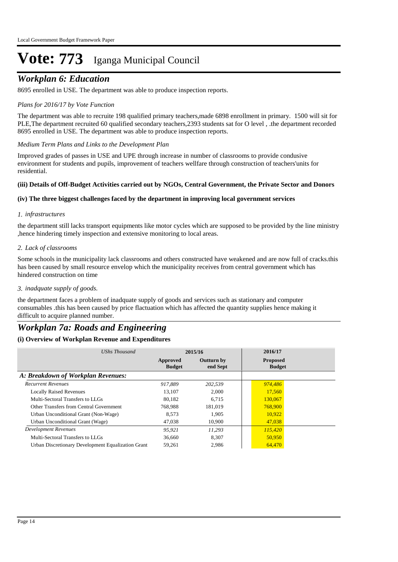## *Workplan 6: Education*

8695 enrolled in USE. The department was able to produce inspection reports.

#### *Plans for 2016/17 by Vote Function*

The department was able to recruite 198 qualified primary teachers,made 6898 enrollment in primary. 1500 will sit for PLE,The department recruited 60 qualified secondary teachers,2393 students sat for O level , .the department recorded 8695 enrolled in USE. The department was able to produce inspection reports.

#### *Medium Term Plans and Links to the Development Plan*

Improved grades of passes in USE and UPE through increase in number of classrooms to provide condusive environment for students and pupils, improvement of teachers wellfare through construction of teachers'units for residential.

#### **(iii) Details of Off-Budget Activities carried out by NGOs, Central Government, the Private Sector and Donors**

#### **(iv) The three biggest challenges faced by the department in improving local government services**

#### *infrastructures 1.*

the department still lacks transport equipments like motor cycles which are supposed to be provided by the line ministry ,hence hindering timely inspection and extensive monitoring to local areas.

#### *Lack of classrooms 2.*

Some schools in the municipality lack classrooms and others constructed have weakened and are now full of cracks.this has been caused by small resource envelop which the municipality receives from central government which has hindered construction on time

#### *inadquate supply of goods. 3.*

the department faces a problem of inadquate supply of goods and services such as stationary and computer consumables .this has been caused by price flactuation which has affected the quantity supplies hence making it difficult to acquire planned number.

### *Workplan 7a: Roads and Engineering*

#### **(i) Overview of Workplan Revenue and Expenditures**

| UShs Thousand                                      |                           | 2015/16                       | 2016/17                          |
|----------------------------------------------------|---------------------------|-------------------------------|----------------------------------|
|                                                    | Approved<br><b>Budget</b> | <b>Outturn by</b><br>end Sept | <b>Proposed</b><br><b>Budget</b> |
| A: Breakdown of Workplan Revenues:                 |                           |                               |                                  |
| <b>Recurrent Revenues</b>                          | 917.889                   | 202.539                       | 974,486                          |
| <b>Locally Raised Revenues</b>                     | 13.107                    | 2.000                         | 17,560                           |
| Multi-Sectoral Transfers to LLGs                   | 80.182                    | 6.715                         | 130,067                          |
| Other Transfers from Central Government            | 768,988                   | 181,019                       | 768,900                          |
| Urban Unconditional Grant (Non-Wage)               | 8.573                     | 1.905                         | 10,922                           |
| Urban Unconditional Grant (Wage)                   | 47,038                    | 10.900                        | 47,038                           |
| Development Revenues                               | 95.921                    | 11.293                        | 115,420                          |
| Multi-Sectoral Transfers to LLGs                   | 36,660                    | 8,307                         | 50,950                           |
| Urban Discretionary Development Equalization Grant | 59,261                    | 2,986                         | 64,470                           |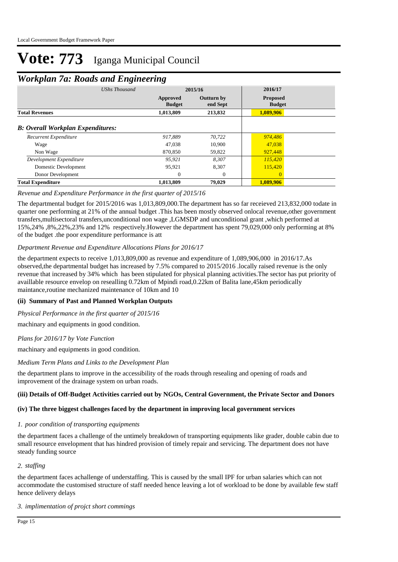## *Workplan 7a: Roads and Engineering*

|                                          | <b>UShs Thousand</b> | 2015/16                   |                               | 2016/17                          |  |
|------------------------------------------|----------------------|---------------------------|-------------------------------|----------------------------------|--|
|                                          |                      | Approved<br><b>Budget</b> | <b>Outturn by</b><br>end Sept | <b>Proposed</b><br><b>Budget</b> |  |
| <b>Total Revenues</b>                    |                      | 1,013,809                 | 213,832                       | 1,089,906                        |  |
| <b>B: Overall Workplan Expenditures:</b> |                      |                           |                               |                                  |  |
| Recurrent Expenditure                    |                      | 917.889                   | 70.722                        | 974,486                          |  |
| Wage                                     |                      | 47.038                    | 10,900                        | 47,038                           |  |
| Non Wage                                 |                      | 870,850                   | 59,822                        | 927,448                          |  |
| Development Expenditure                  |                      | 95.921                    | 8.307                         | 115,420                          |  |
| Domestic Development                     |                      | 95,921                    | 8,307                         | 115,420                          |  |
| Donor Development                        |                      | $\overline{0}$            | $\overline{0}$                | $\mathbf{0}$                     |  |
| <b>Total Expenditure</b>                 |                      | 1,013,809                 | 79,029                        | 1,089,906                        |  |

#### *Revenue and Expenditure Performance in the first quarter of 2015/16*

The departmental budget for 2015/2016 was 1,013,809,000.The department has so far receieved 213,832,000 todate in quarter one performing at 21% of the annual budget .This has been mostly observed onlocal revenue,other government transfers,multisectoral transfers,unconditional non wage ,LGMSDP and unconditional grant ,which performed at 15%,24% ,8%,22%,23% and 12% respectively.However the department has spent 79,029,000 only performing at 8% of the budget .the poor expenditure performance is att

#### *Department Revenue and Expenditure Allocations Plans for 2016/17*

the department expects to receive 1,013,809,000 as revenue and expenditure of 1,089,906,000 in 2016/17.As observed,the departmental budget has increased by 7.5% compared to 2015/2016 .locally raised revenue is the only revenue that increased by 34% which has been stipulated for physical planning activities.The sector has put priority of availlable resource envelop on resealling 0.72km of Mpindi road,0.22km of Balita lane,45km periodically maintance,routine mechanized maintenance of 10km and 10

#### **(ii) Summary of Past and Planned Workplan Outputs**

*Physical Performance in the first quarter of 2015/16*

machinary and equipments in good condition.

#### *Plans for 2016/17 by Vote Function*

machinary and equipments in good condition.

#### *Medium Term Plans and Links to the Development Plan*

the department plans to improve in the accessibility of the roads through resealing and opening of roads and improvement of the drainage system on urban roads.

#### **(iii) Details of Off-Budget Activities carried out by NGOs, Central Government, the Private Sector and Donors**

#### **(iv) The three biggest challenges faced by the department in improving local government services**

#### *poor condition of transporting equipments 1.*

the department faces a challenge of the untimely breakdown of transporting equipments like grader, double cabin due to small resource envelopment that has hindred provision of timely repair and servicing. The department does not have steady funding source

#### *staffing 2.*

the department faces achallenge of understaffing. This is caused by the small IPF for urban salaries which can not accommodate the customised structure of staff needed hence leaving a lot of workload to be done by available few staff hence delivery delays

#### *implimentation of projct short commings 3.*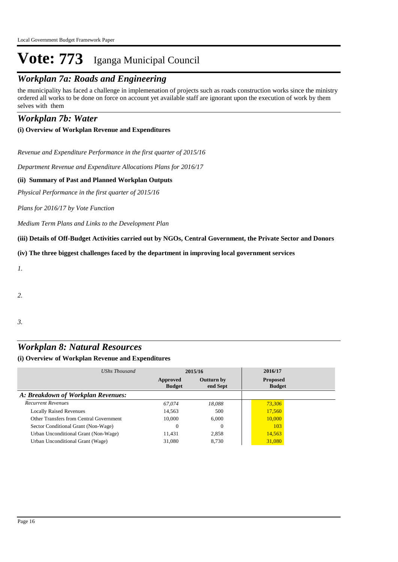## *Workplan 7a: Roads and Engineering*

the municipality has faced a challenge in implemenation of projects such as roads construction works since the ministry ordered all works to be done on force on account yet available staff are ignorant upon the execution of work by them selves with them

### *Workplan 7b: Water*

#### **(i) Overview of Workplan Revenue and Expenditures**

*Revenue and Expenditure Performance in the first quarter of 2015/16*

*Department Revenue and Expenditure Allocations Plans for 2016/17*

#### **(ii) Summary of Past and Planned Workplan Outputs**

*Physical Performance in the first quarter of 2015/16*

*Plans for 2016/17 by Vote Function*

*Medium Term Plans and Links to the Development Plan*

**(iii) Details of Off-Budget Activities carried out by NGOs, Central Government, the Private Sector and Donors** 

**(iv) The three biggest challenges faced by the department in improving local government services**

*1.*

*2.*

*3.*

### *Workplan 8: Natural Resources*

#### **(i) Overview of Workplan Revenue and Expenditures**

| UShs Thousand                           | 2015/16                   |                               | 2016/17                          |  |
|-----------------------------------------|---------------------------|-------------------------------|----------------------------------|--|
|                                         | Approved<br><b>Budget</b> | <b>Outturn by</b><br>end Sept | <b>Proposed</b><br><b>Budget</b> |  |
| A: Breakdown of Workplan Revenues:      |                           |                               |                                  |  |
| <b>Recurrent Revenues</b>               | 67,074                    | 18.088                        | 73.306                           |  |
| <b>Locally Raised Revenues</b>          | 14,563                    | 500                           | 17,560                           |  |
| Other Transfers from Central Government | 10,000                    | 6,000                         | 10,000                           |  |
| Sector Conditional Grant (Non-Wage)     |                           | $\Omega$                      | 103                              |  |
| Urban Unconditional Grant (Non-Wage)    | 11.431                    | 2.858                         | 14,563                           |  |
| Urban Unconditional Grant (Wage)        | 31,080                    | 8.730                         | 31,080                           |  |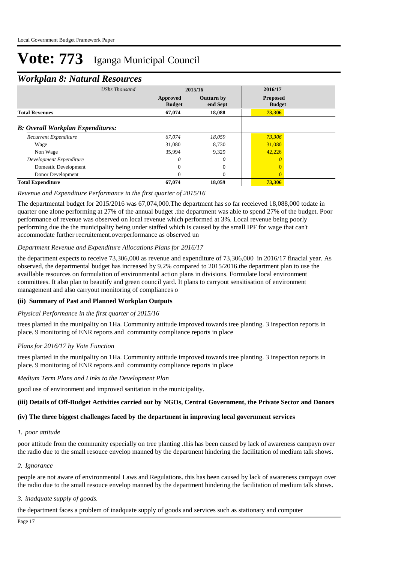### *Workplan 8: Natural Resources*

| ┻<br>UShs Thousand                       | 2015/16                   |                               | 2016/17                          |  |
|------------------------------------------|---------------------------|-------------------------------|----------------------------------|--|
|                                          | Approved<br><b>Budget</b> | <b>Outturn by</b><br>end Sept | <b>Proposed</b><br><b>Budget</b> |  |
| <b>Total Revenues</b>                    | 67,074                    | 18,088                        | 73,306                           |  |
| <b>B: Overall Workplan Expenditures:</b> |                           |                               |                                  |  |
| Recurrent Expenditure                    | 67.074                    | 18,059                        | 73,306                           |  |
| Wage                                     | 31,080                    | 8.730                         | 31,080                           |  |
| Non Wage                                 | 35,994                    | 9,329                         | 42,226                           |  |
| Development Expenditure                  | 0                         | 0                             |                                  |  |
| Domestic Development                     | $\Omega$                  | $\Omega$                      | $\Omega$                         |  |
| Donor Development                        | $\Omega$                  | $\Omega$                      | $\Omega$                         |  |
| <b>Total Expenditure</b>                 | 67,074                    | 18,059                        | 73,306                           |  |

#### *Revenue and Expenditure Performance in the first quarter of 2015/16*

The departmental budget for 2015/2016 was 67,074,000.The department has so far receieved 18,088,000 todate in quarter one alone performing at 27% of the annual budget .the department was able to spend 27% of the budget. Poor performance of revenue was observed on local revenue which performed at 3%. Local revenue being poorly performing due the the municipality being under staffed which is caused by the small IPF for wage that can't accommodate further recruitement.overperformance as observed un

#### *Department Revenue and Expenditure Allocations Plans for 2016/17*

the department expects to receive 73,306,000 as revenue and expenditure of 73,306,000 in 2016/17 finacial year. As observed, the departmental budget has increased by 9.2% compared to 2015/2016.the department plan to use the availlable resources on formulation of environmental action plans in divisions. Formulate local environment committees. It also plan to beautify and green council yard. It plans to carryout sensitisation of environment management and also carryout monitoring of compliances o

#### **(ii) Summary of Past and Planned Workplan Outputs**

#### *Physical Performance in the first quarter of 2015/16*

trees planted in the munipality on 1Ha. Community attitude improved towards tree planting. 3 inspection reports in place. 9 monitoring of ENR reports and community compliance reports in place

#### *Plans for 2016/17 by Vote Function*

trees planted in the munipality on 1Ha. Community attitude improved towards tree planting. 3 inspection reports in place. 9 monitoring of ENR reports and community compliance reports in place

*Medium Term Plans and Links to the Development Plan*

good use of environment and improved sanitation in the municipality.

#### **(iii) Details of Off-Budget Activities carried out by NGOs, Central Government, the Private Sector and Donors**

#### **(iv) The three biggest challenges faced by the department in improving local government services**

#### *poor attitude 1.*

poor attitude from the community especially on tree planting .this has been caused by lack of awareness campayn over the radio due to the small resouce envelop manned by the department hindering the facilitation of medium talk shows.

#### *Ignorance 2.*

people are not aware of environmental Laws and Regulations. this has been caused by lack of awareness campayn over the radio due to the small resouce envelop manned by the department hindering the facilitation of medium talk shows.

#### *inadquate supply of goods. 3.*

the department faces a problem of inadquate supply of goods and services such as stationary and computer

Page 17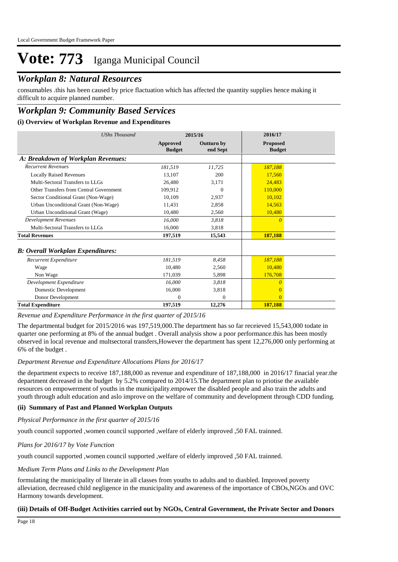### *Workplan 8: Natural Resources*

consumables .this has been caused by price flactuation which has affected the quantity supplies hence making it difficult to acquire planned number.

## *Workplan 9: Community Based Services*

#### **(i) Overview of Workplan Revenue and Expenditures**

| <b>UShs Thousand</b>                     | 2015/16                   |                               | 2016/17                          |
|------------------------------------------|---------------------------|-------------------------------|----------------------------------|
|                                          | Approved<br><b>Budget</b> | <b>Outturn by</b><br>end Sept | <b>Proposed</b><br><b>Budget</b> |
| A: Breakdown of Workplan Revenues:       |                           |                               |                                  |
| <b>Recurrent Revenues</b>                | 181,519                   | 11,725                        | 187,188                          |
| <b>Locally Raised Revenues</b>           | 13.107                    | 200                           | 17,560                           |
| Multi-Sectoral Transfers to LLGs         | 26.480                    | 3,171                         | 24.483                           |
| Other Transfers from Central Government  | 109,912                   | $\Omega$                      | 110,000                          |
| Sector Conditional Grant (Non-Wage)      | 10,109                    | 2,937                         | 10.102                           |
| Urban Unconditional Grant (Non-Wage)     | 11,431                    | 2,858                         | 14,563                           |
| Urban Unconditional Grant (Wage)         | 10,480                    | 2,560                         | 10,480                           |
| <b>Development Revenues</b>              | 16,000                    | 3,818                         | $\theta$                         |
| Multi-Sectoral Transfers to LLGs         | 16.000                    | 3,818                         |                                  |
| <b>Total Revenues</b>                    | 197,519                   | 15,543                        | 187,188                          |
| <b>B: Overall Workplan Expenditures:</b> |                           |                               |                                  |
| Recurrent Expenditure                    | 181,519                   | 8.458                         | 187,188                          |
| Wage                                     | 10,480                    | 2,560                         | 10.480                           |
| Non Wage                                 | 171,039                   | 5,898                         | 176,708                          |
| Development Expenditure                  | 16.000                    | 3,818                         | 0                                |
| Domestic Development                     | 16,000                    | 3,818                         | $\Omega$                         |
| Donor Development                        | 0                         | $\mathbf{0}$                  | $\Omega$                         |
| <b>Total Expenditure</b>                 | 197,519                   | 12,276                        | 187,188                          |

#### *Revenue and Expenditure Performance in the first quarter of 2015/16*

The departmental budget for 2015/2016 was 197,519,000.The department has so far receieved 15,543,000 todate in quarter one performing at 8% of the annual budget . Overall analysis show a poor performance.this has been mostly observed in local revenue and multsectoral transfers,However the department has spent 12,276,000 only performing at 6% of the budget .

#### *Department Revenue and Expenditure Allocations Plans for 2016/17*

the department expects to receive 187,188,000 as revenue and expenditure of 187,188,000 in 2016/17 finacial year.the department decreased in the budget by 5.2% compared to 2014/15.The department plan to priotise the available resources on empowerment of youths in the municipality.empower the disabled people and also train the adults and youth through adult education and aslo improve on the welfare of community and development through CDD funding.

#### **(ii) Summary of Past and Planned Workplan Outputs**

*Physical Performance in the first quarter of 2015/16*

youth council supported ,women council supported ,welfare of elderly improved ,50 FAL trainned.

#### *Plans for 2016/17 by Vote Function*

youth council supported ,women council supported ,welfare of elderly improved ,50 FAL trainned.

#### *Medium Term Plans and Links to the Development Plan*

formulating the municipality of literate in all classes from youths to adults and to diasbled. Improved poverty alleviation, decreased child negligence in the municipality and awareness of the importance of CBOs,NGOs and OVC Harmony towards development.

#### **(iii) Details of Off-Budget Activities carried out by NGOs, Central Government, the Private Sector and Donors**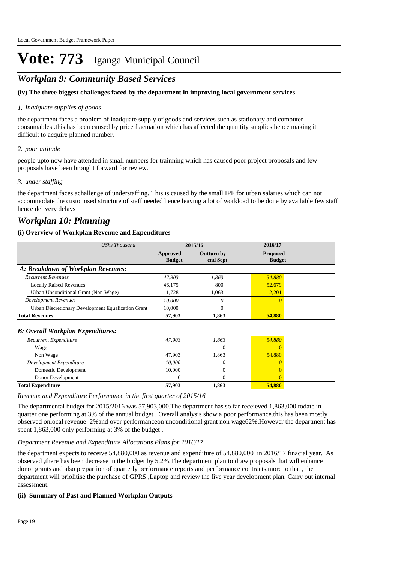## *Workplan 9: Community Based Services*

#### **(iv) The three biggest challenges faced by the department in improving local government services**

#### *Inadquate supplies of goods 1.*

the department faces a problem of inadquate supply of goods and services such as stationary and computer consumables .this has been caused by price flactuation which has affected the quantity supplies hence making it difficult to acquire planned number.

#### *poor attitude 2.*

people upto now have attended in small numbers for trainning which has caused poor project proposals and few proposals have been brought forward for review.

#### *under staffing 3.*

the department faces achallenge of understaffing. This is caused by the small IPF for urban salaries which can not accommodate the customised structure of staff needed hence leaving a lot of workload to be done by available few staff hence delivery delays

### *Workplan 10: Planning*

#### **(i) Overview of Workplan Revenue and Expenditures**

| <b>UShs Thousand</b>                               | 2015/16                   |                               | 2016/17                          |  |
|----------------------------------------------------|---------------------------|-------------------------------|----------------------------------|--|
|                                                    | Approved<br><b>Budget</b> | <b>Outturn by</b><br>end Sept | <b>Proposed</b><br><b>Budget</b> |  |
| A: Breakdown of Workplan Revenues:                 |                           |                               |                                  |  |
| <b>Recurrent Revenues</b>                          | 47,903                    | 1,863                         | 54,880                           |  |
| <b>Locally Raised Revenues</b>                     | 46,175                    | 800                           | 52,679                           |  |
| Urban Unconditional Grant (Non-Wage)               | 1,728                     | 1,063                         | 2,201                            |  |
| <b>Development Revenues</b>                        | 10,000                    | 0                             | $\Omega$                         |  |
| Urban Discretionary Development Equalization Grant | 10,000                    | 0                             |                                  |  |
| <b>Total Revenues</b>                              | 57,903                    | 1,863                         | 54,880                           |  |
| <b>B: Overall Workplan Expenditures:</b>           |                           |                               |                                  |  |
| Recurrent Expenditure                              | 47,903                    | 1,863                         | 54,880                           |  |
| Wage                                               |                           | $\theta$                      | 0                                |  |
| Non Wage                                           | 47,903                    | 1,863                         | 54,880                           |  |
| Development Expenditure                            | 10,000                    | 0                             |                                  |  |
| Domestic Development                               | 10,000                    | $\mathbf{0}$                  |                                  |  |
| Donor Development                                  | 0                         | $\Omega$                      | $\Omega$                         |  |
| <b>Total Expenditure</b>                           | 57,903                    | 1,863                         | 54,880                           |  |

*Revenue and Expenditure Performance in the first quarter of 2015/16*

The departmental budget for 2015/2016 was 57,903,000.The department has so far receieved 1,863,000 todate in quarter one performing at 3% of the annual budget . Overall analysis show a poor performance.this has been mostly observed onlocal revenue 2%and over performanceon unconditional grant non wage62%,However the department has spent 1,863,000 only performing at 3% of the budget .

#### *Department Revenue and Expenditure Allocations Plans for 2016/17*

the department expects to receive 54,880,000 as revenue and expenditure of 54,880,000 in 2016/17 finacial year. As observed ,there has been decrease in the budget by 5.2%.The department plan to draw proposals that will enhance donor grants and also prepartion of quarterly performance reports and performance contracts.more to that , the department will priolitise the purchase of GPRS ,Laptop and review the five year development plan. Carry out internal assessment.

#### **(ii) Summary of Past and Planned Workplan Outputs**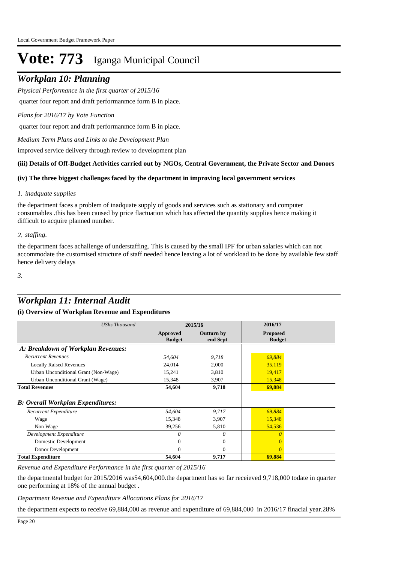## *Workplan 10: Planning*

*Physical Performance in the first quarter of 2015/16*

quarter four report and draft performanmce form B in place.

*Plans for 2016/17 by Vote Function*

quarter four report and draft performanmce form B in place.

*Medium Term Plans and Links to the Development Plan*

improved service delivery through review to development plan

#### **(iii) Details of Off-Budget Activities carried out by NGOs, Central Government, the Private Sector and Donors**

#### **(iv) The three biggest challenges faced by the department in improving local government services**

#### *inadquate supplies 1.*

the department faces a problem of inadquate supply of goods and services such as stationary and computer consumables .this has been caused by price flactuation which has affected the quantity supplies hence making it difficult to acquire planned number.

#### *staffing. 2.*

the department faces achallenge of understaffing. This is caused by the small IPF for urban salaries which can not accommodate the customised structure of staff needed hence leaving a lot of workload to be done by available few staff hence delivery delays

*3.*

## *Workplan 11: Internal Audit*

#### **(i) Overview of Workplan Revenue and Expenditures**

| <b>UShs Thousand</b>                     | 2015/16                   |                               | 2016/17                          |  |
|------------------------------------------|---------------------------|-------------------------------|----------------------------------|--|
|                                          | Approved<br><b>Budget</b> | <b>Outturn by</b><br>end Sept | <b>Proposed</b><br><b>Budget</b> |  |
| A: Breakdown of Workplan Revenues:       |                           |                               |                                  |  |
| <b>Recurrent Revenues</b>                | 54,604                    | 9,718                         | 69.884                           |  |
| <b>Locally Raised Revenues</b>           | 24,014                    | 2,000                         | 35,119                           |  |
| Urban Unconditional Grant (Non-Wage)     | 15,241                    | 3,810                         | 19,417                           |  |
| Urban Unconditional Grant (Wage)         | 15,348                    | 3,907                         | 15,348                           |  |
| <b>Total Revenues</b>                    | 54,604                    | 9,718                         | 69,884                           |  |
| <b>B: Overall Workplan Expenditures:</b> |                           |                               |                                  |  |
| Recurrent Expenditure                    | 54,604                    | 9,717                         | 69,884                           |  |
| Wage                                     | 15,348                    | 3,907                         | 15,348                           |  |
| Non Wage                                 | 39,256                    | 5,810                         | 54,536                           |  |
| Development Expenditure                  | 0                         | $\theta$                      | n                                |  |
| Domestic Development                     | $\Omega$                  | $\Omega$                      |                                  |  |
| Donor Development                        | 0                         | $\Omega$                      | $\Omega$                         |  |
| <b>Total Expenditure</b>                 | 54,604                    | 9,717                         | 69,884                           |  |

*Revenue and Expenditure Performance in the first quarter of 2015/16*

the departmental budget for 2015/2016 was54,604,000.the department has so far receieved 9,718,000 todate in quarter one performing at 18% of the annual budget .

*Department Revenue and Expenditure Allocations Plans for 2016/17*

the department expects to receive 69,884,000 as revenue and expenditure of 69,884,000 in 2016/17 finacial year.28%